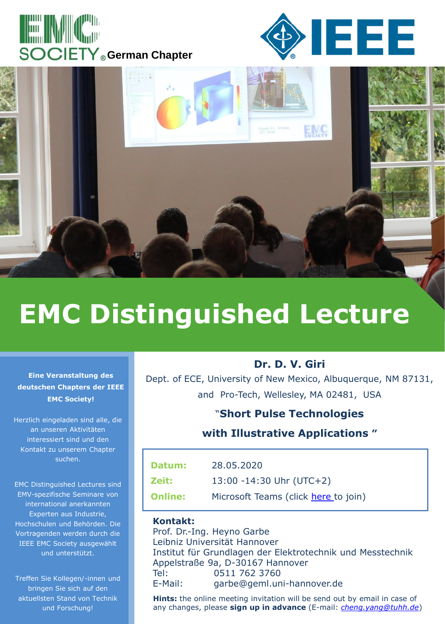





# **EMC Distinguished Lecture**

#### **Eine Veranstaltung des deutschen Chapters der IEEE EMC Society!**

Herzlich eingeladen sind alle, die an unseren Aktivitäten interessiert sind und den Kontakt zu unserem Chapter suchen.

EMC Distinguished Lectures sind EMV-spezifische Seminare von international anerkannten Experten aus Industrie, Hochschulen und Behörden. Die Vortragenden werden durch die IEEE EMC Society ausgewählt und unterstützt.

Treffen Sie Kollegen/-innen und bringen Sie sich auf den aktuellsten Stand von Technik und Forschung!

#### **Dr. D. V. Giri**

Dept. of ECE, University of New Mexico, Albuquerque, NM 87131, and Pro-Tech, Wellesley, MA 02481, USA

#### "**Short Pulse Technologies**

#### **with Illustrative Applications "**

| Datum:         | 28.05.2020                           |
|----------------|--------------------------------------|
| Zeit:          | 13:00 -14:30 Uhr (UTC+2)             |
| <b>Online:</b> | Microsoft Teams (click here to join) |

#### **Kontakt:**

Prof. Dr.-Ing. Heyno Garbe Leibniz Universität Hannover Institut für Grundlagen der Elektrotechnik und Messtechnik Appelstraße 9a, D-30167 Hannover Tel: 0511 762 3760 E-Mail: garbe@geml.uni-hannover.de

**Hints:** the online meeting invitation will be send out by email in case of any changes, please **sign up in advance** (E-mail: *[cheng.yang@tuhh.de](mailto:cheng.yang@tuhh.de)*)